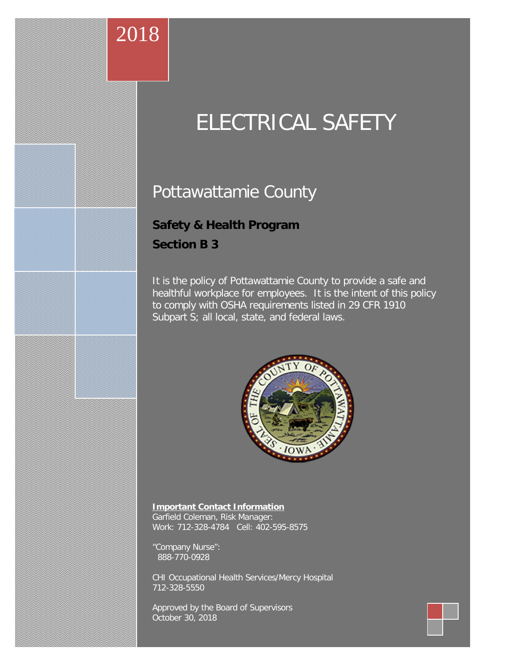# 2018

# ELECTRICAL SAFETY

# Pottawattamie County

# **Safety & Health Program**

**Section B 3**

It is the policy of Pottawattamie County to provide a safe and healthful workplace for employees. It is the intent of this policy to comply with OSHA requirements listed in 29 CFR 1910 Subpart S; all local, state, and federal laws.



#### **Important Contact Information**

Garfield Coleman, Risk Manager: Work: 712-328-4784 Cell: 402-595-8575

"Company Nurse": 888-770-0928

CHI Occupational Health Services/Mercy Hospital 712-328-5550

Approved by the Board of Supervisors October 30, 2018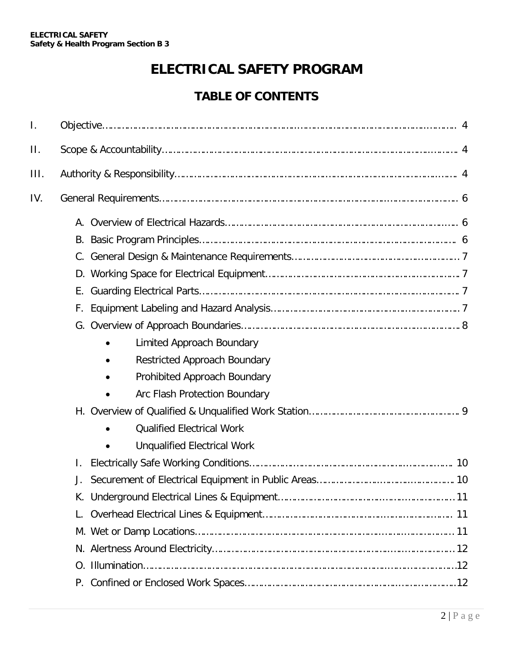# **ELECTRICAL SAFETY PROGRAM**

# **TABLE OF CONTENTS**

| I.   |    |                                     |
|------|----|-------------------------------------|
| Π.   |    |                                     |
| III. |    |                                     |
| IV.  |    |                                     |
|      |    |                                     |
|      |    |                                     |
|      |    |                                     |
|      |    |                                     |
|      | Е. |                                     |
|      | F. |                                     |
|      |    |                                     |
|      |    | Limited Approach Boundary           |
|      |    | <b>Restricted Approach Boundary</b> |
|      |    | Prohibited Approach Boundary        |
|      |    | Arc Flash Protection Boundary       |
|      |    |                                     |
|      |    | <b>Qualified Electrical Work</b>    |
|      |    | <b>Unqualified Electrical Work</b>  |
|      | I. |                                     |
|      | J. |                                     |
|      |    |                                     |
|      |    |                                     |
|      |    |                                     |
|      |    |                                     |
|      |    |                                     |
|      |    |                                     |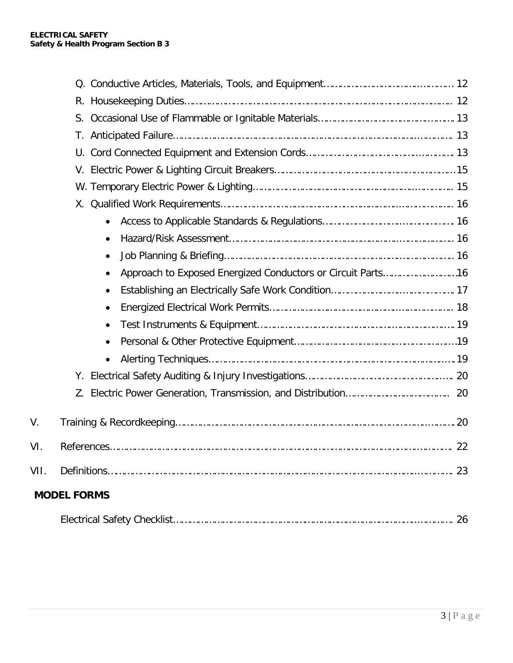|      | $\bullet$                                                   |    |
|------|-------------------------------------------------------------|----|
|      |                                                             |    |
|      | Approach to Exposed Energized Conductors or Circuit Parts16 |    |
|      |                                                             |    |
|      | $\bullet$                                                   |    |
|      |                                                             |    |
|      |                                                             |    |
|      | $\bullet$                                                   |    |
|      |                                                             |    |
|      |                                                             |    |
| V.   |                                                             |    |
| VI.  |                                                             |    |
| VII. |                                                             | 23 |
|      | <b>MODEL FORMS</b>                                          |    |
|      |                                                             |    |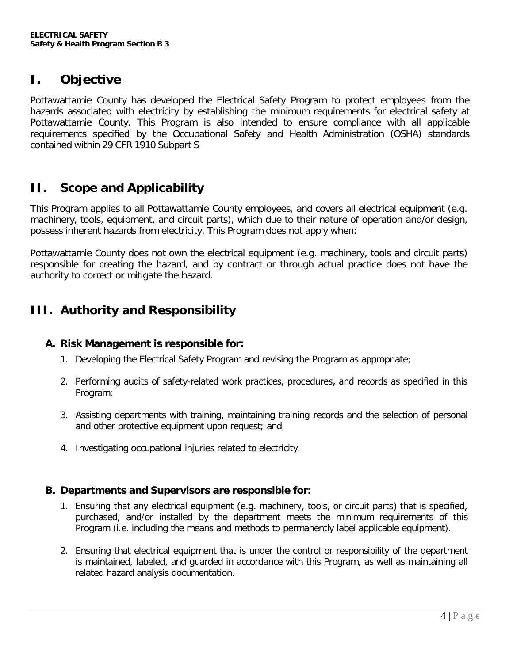## **I. Objective**

Pottawattamie County has developed the Electrical Safety Program to protect employees from the hazards associated with electricity by establishing the minimum requirements for electrical safety at Pottawattamie County. This Program is also intended to ensure compliance with all applicable requirements specified by the Occupational Safety and Health [Administration](https://www.osha.gov/pls/oshaweb/owadisp.show_document?p_table=STANDARDS&p_id=10135) (OSHA) standards [contained](https://www.osha.gov/pls/oshaweb/owadisp.show_document?p_table=STANDARDS&p_id=10135) within 29 CFR 1910 Subpart S

## **II. Scope and Applicability**

This Program applies to all Pottawattamie County employees, and covers all electrical equipment (e.g. machinery, tools, equipment, and circuit parts), which due to their nature of operation and/or design, possess inherent hazards from electricity. This Program does not apply when:

Pottawattamie County does not own the electrical equipment (e.g. machinery, tools and circuit parts) responsible for creating the hazard, and by contract or through actual practice does not have the authority to correct or mitigate the hazard.

# **III. Authority and Responsibility**

#### **A. Risk Management is responsible for:**

- 1. Developing the Electrical Safety Program and revising the Program as appropriate;
- 2. Performing audits of safety-related work practices, procedures, and records as specified in this Program;
- 3. Assisting departments with training, maintaining training records and the selection of personal and other protective equipment upon request; and
- 4. Investigating occupational injuries related to electricity.

#### **B. Departments and Supervisors are responsible for:**

- 1. Ensuring that any electrical equipment (e.g. machinery, tools, or circuit parts) that is specified, purchased, and/or installed by the department meets the minimum requirements of this Program (i.e. including the means and methods to permanently label applicable equipment).
- 2. Ensuring that electrical equipment that is under the control or responsibility of the department is maintained, labeled, and guarded in accordance with this Program, as well as maintaining all related hazard analysis documentation.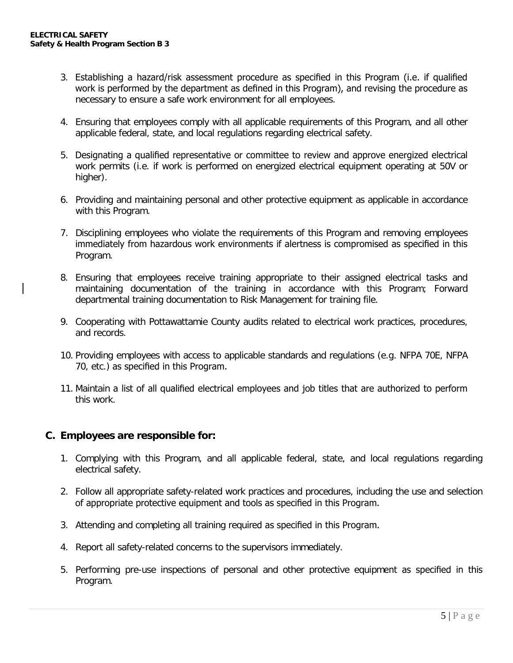- 3. Establishing a hazard/risk assessment procedure as specified in this Program (i.e. if qualified work is performed by the department as defined in this Program), and revising the procedure as necessary to ensure a safe work environment for all employees.
- 4. Ensuring that employees comply with all applicable requirements of this Program, and all other applicable federal, state, and local regulations regarding electrical safety.
- 5. Designating a qualified representative or committee to review and approve energized electrical work permits (i.e. if work is performed on energized electrical equipment operating at 50V or higher).
- 6. Providing and maintaining personal and other protective equipment as applicable in accordance with this Program.
- 7. Disciplining employees who violate the requirements of this Program and removing employees immediately from hazardous work environments if alertness is compromised as specified in this Program.
- 8. Ensuring that employees receive training appropriate to their assigned electrical tasks and maintaining documentation of the training in accordance with this Program; Forward departmental training documentation to Risk Management for training file.
- 9. Cooperating with Pottawattamie County audits related to electrical work practices, procedures, and records.
- 10. Providing employees with access to applicable standards and regulations (e.g. NFPA 70E, NFPA 70, etc.) as specified in this Program.
- 11. Maintain a list of all qualified electrical employees and job titles that are authorized to perform this work.

#### **C. Employees are responsible for:**

- 1. Complying with this Program, and all applicable federal, state, and local regulations regarding electrical safety.
- 2. Follow all appropriate safety-related work practices and procedures, including the use and selection of appropriate protective equipment and tools as specified in this Program.
- 3. Attending and completing all training required as specified in this Program.
- 4. Report all safety-related concerns to the supervisors immediately.
- 5. Performing pre-use inspections of personal and other protective equipment as specified in this Program.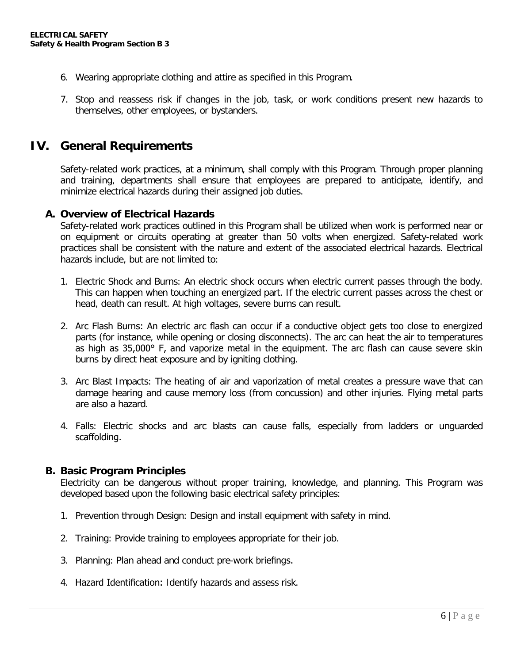- 6. Wearing appropriate clothing and attire as specified in this Program.
- 7. Stop and reassess risk if changes in the job, task, or work conditions present new hazards to themselves, other employees, or bystanders.

#### **IV. General Requirements**

Safety-related work practices, at a minimum, shall comply with this Program. Through proper planning and training, departments shall ensure that employees are prepared to anticipate, identify, and minimize electrical hazards during their assigned job duties.

#### **A. Overview of Electrical Hazards**

Safety-related work practices outlined in this Program shall be utilized when work is performed near or on equipment or circuits operating at greater than 50 volts when energized. Safety-related work practices shall be consistent with the nature and extent of the associated electrical hazards. Electrical hazards include, but are not limited to:

- 1. Electric Shock and Burns: An electric shock occurs when electric current passes through the body. This can happen when touching an energized part. If the electric current passes across the chest or head, death can result. At high voltages, severe burns can result.
- 2. Arc Flash Burns: An electric arc flash can occur if a conductive object gets too close to energized parts (for instance, while opening or closing disconnects). The arc can heat the air to temperatures as high as 35,000° F, and vaporize metal in the equipment. The arc flash can cause severe skin burns by direct heat exposure and by igniting clothing.
- 3. Arc Blast Impacts: The heating of air and vaporization of metal creates a pressure wave that can damage hearing and cause memory loss (from concussion) and other injuries. Flying metal parts are also a hazard.
- 4. Falls: Electric shocks and arc blasts can cause falls, especially from ladders or unguarded scaffolding.

#### **B. Basic Program Principles**

Electricity can be dangerous without proper training, knowledge, and planning. This Program was developed based upon the following basic electrical safety principles:

- 1. Prevention through Design: Design and install equipment with safety in mind.
- 2. Training: Provide training to employees appropriate for their job.
- 3. Planning: Plan ahead and conduct pre-work briefings.
- 4. Hazard Identification: Identify hazards and assess risk.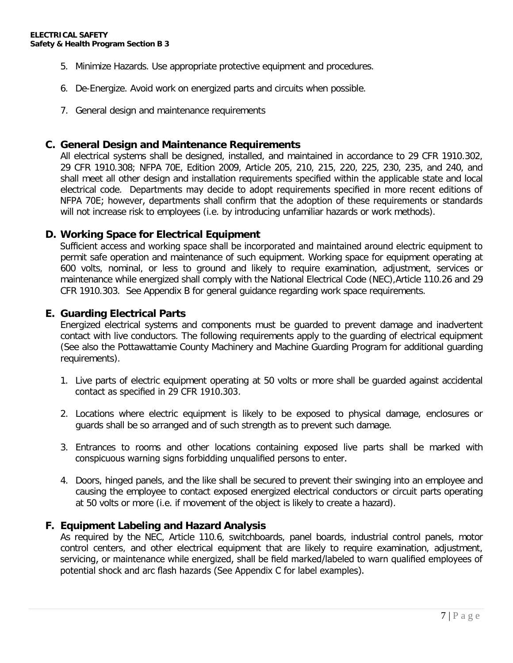- 5. Minimize Hazards. Use appropriate protective equipment and procedures.
- 6. De-Energize. Avoid work on energized parts and circuits when possible.
- 7. General design and maintenance requirements

#### **C. General Design and Maintenance Requirements**

All electrical systems shall be designed, installed, and maintained in accordance to 29 CFR 1910.302, 29 CFR 1910.308; NFPA 70E, Edition 2009, Article 205, 210, 215, 220, 225, 230, 235, and 240, and shall meet all other design and installation requirements specified within the applicable state and local electrical code. Departments may decide to adopt requirements specified in more recent editions of NFPA 70E; however, departments shall confirm that the adoption of these requirements or standards will not increase risk to employees (i.e. by introducing unfamiliar hazards or work methods).

#### **D. Working Space for Electrical Equipment**

Sufficient access and working space shall be incorporated and maintained around electric equipment to permit safe operation and maintenance of such equipment. Working space for equipment operating at 600 volts, nominal, or less to ground and likely to require examination, adjustment, services or maintenance while energized shall comply with the National Electrical Code (NEC),Article 110.26 and 29 CFR 1910.303. See Appendix B for general guidance regarding work space requirements.

#### **E. Guarding Electrical Parts**

Energized electrical systems and components must be guarded to prevent damage and inadvertent contact with live conductors. The following requirements apply to the guarding of electrical equipment (See also the Pottawattamie County Machinery and Machine Guarding Program for additional guarding requirements).

- 1. Live parts of electric equipment operating at 50 volts or more shall be guarded against accidental contact as specified in 29 CFR 1910.303.
- 2. Locations where electric equipment is likely to be exposed to physical damage, enclosures or guards shall be so arranged and of such strength as to prevent such damage.
- 3. Entrances to rooms and other locations containing exposed live parts shall be marked with conspicuous warning signs forbidding unqualified persons to enter.
- 4. Doors, hinged panels, and the like shall be secured to prevent their swinging into an employee and causing the employee to contact exposed energized electrical conductors or circuit parts operating at 50 volts or more (i.e. if movement of the object is likely to create a hazard).

#### **F. Equipment Labeling and Hazard Analysis**

As required by the NEC, Article 110.6, switchboards, panel boards, industrial control panels, motor control centers, and other electrical equipment that are likely to require examination, adjustment, servicing, or maintenance while energized, shall be field marked/labeled to warn qualified employees of potential shock and arc flash hazards (See Appendix C for label examples).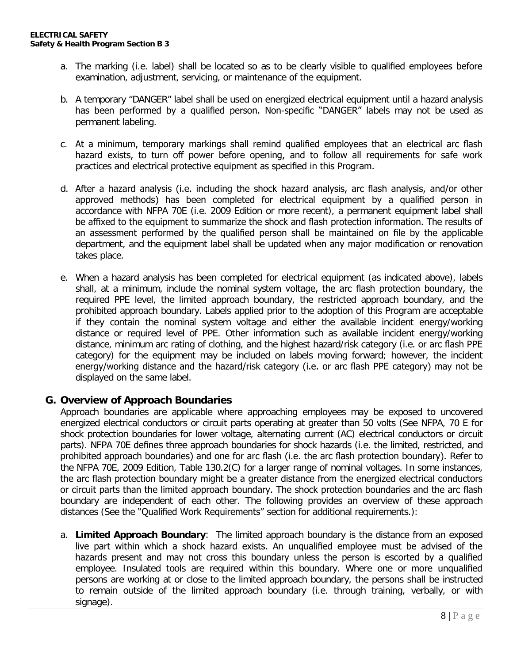- a. The marking (i.e. label) shall be located so as to be clearly visible to qualified employees before examination, adjustment, servicing, or maintenance of the equipment.
- b. A temporary "DANGER" label shall be used on energized electrical equipment until a hazard analysis has been performed by a qualified person. Non-specific "DANGER" labels may not be used as permanent labeling.
- c. At a minimum, temporary markings shall remind qualified employees that an electrical arc flash hazard exists, to turn off power before opening, and to follow all requirements for safe work practices and electrical protective equipment as specified in this Program.
- d. After a hazard analysis (i.e. including the shock hazard analysis, arc flash analysis, and/or other approved methods) has been completed for electrical equipment by a qualified person in accordance with NFPA 70E (i.e. 2009 Edition or more recent), a permanent equipment label shall be affixed to the equipment to summarize the shock and flash protection information. The results of an assessment performed by the qualified person shall be maintained on file by the applicable department, and the equipment label shall be updated when any major modification or renovation takes place.
- e. When a hazard analysis has been completed for electrical equipment (as indicated above), labels shall, at a minimum, include the nominal system voltage, the arc flash protection boundary, the required PPE level, the limited approach boundary, the restricted approach boundary, and the prohibited approach boundary. Labels applied prior to the adoption of this Program are acceptable if they contain the nominal system voltage and either the available incident energy/working distance or required level of PPE. Other information such as available incident energy/working distance, minimum arc rating of clothing, and the highest hazard/risk category (i.e. or arc flash PPE category) for the equipment may be included on labels moving forward; however, the incident energy/working distance and the hazard/risk category (i.e. or arc flash PPE category) may not be displayed on the same label.

#### **G. Overview of Approach Boundaries**

Approach boundaries are applicable where approaching employees may be exposed to uncovered energized electrical conductors or circuit parts operating at greater than 50 volts (See NFPA, 70 E for shock protection boundaries for lower voltage, alternating current (AC) electrical conductors or circuit parts). NFPA 70E defines three approach boundaries for shock hazards (i.e. the limited, restricted, and prohibited approach boundaries) and one for arc flash (i.e. the arc flash protection boundary). Refer to the NFPA 70E, 2009 Edition, Table 130.2(C) for a larger range of nominal voltages. In some instances, the arc flash protection boundary might be a greater distance from the energized electrical conductors or circuit parts than the limited approach boundary. The shock protection boundaries and the arc flash boundary are independent of each other. The following provides an overview of these approach distances (See the "Qualified Work Requirements" section for additional requirements.):

a. **Limited Approach Boundary**: The limited approach boundary is the distance from an exposed live part within which a shock hazard exists. An unqualified employee must be advised of the hazards present and may not cross this boundary unless the person is escorted by a qualified employee. Insulated tools are required within this boundary. Where one or more unqualified persons are working at or close to the limited approach boundary, the persons shall be instructed to remain outside of the limited approach boundary (i.e. through training, verbally, or with signage).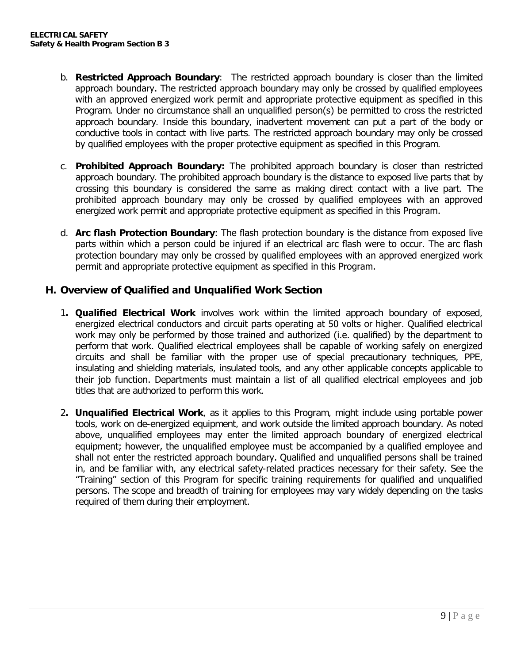- b. **Restricted Approach Boundary**: The restricted approach boundary is closer than the limited approach boundary. The restricted approach boundary may only be crossed by qualified employees with an approved energized work permit and appropriate protective equipment as specified in this Program. Under no circumstance shall an unqualified person(s) be permitted to cross the restricted approach boundary. Inside this boundary, inadvertent movement can put a part of the body or conductive tools in contact with live parts. The restricted approach boundary may only be crossed by qualified employees with the proper protective equipment as specified in this Program.
- c. **Prohibited Approach Boundary:** The prohibited approach boundary is closer than restricted approach boundary. The prohibited approach boundary is the distance to exposed live parts that by crossing this boundary is considered the same as making direct contact with a live part. The prohibited approach boundary may only be crossed by qualified employees with an approved energized work permit and appropriate protective equipment as specified in this Program.
- d. **Arc flash Protection Boundary**: The flash protection boundary is the distance from exposed live parts within which a person could be injured if an electrical arc flash were to occur. The arc flash protection boundary may only be crossed by qualified employees with an approved energized work permit and appropriate protective equipment as specified in this Program.

#### **H. Overview of Qualified and Unqualified Work Section**

- 1**. Qualified Electrical Work** involves work within the limited approach boundary of exposed, energized electrical conductors and circuit parts operating at 50 volts or higher. Qualified electrical work may only be performed by those trained and authorized (i.e. qualified) by the department to perform that work. Qualified electrical employees shall be capable of working safely on energized circuits and shall be familiar with the proper use of special precautionary techniques, PPE, insulating and shielding materials, insulated tools, and any other applicable concepts applicable to their job function. Departments must maintain a list of all qualified electrical employees and job titles that are authorized to perform this work.
- 2**. Unqualified Electrical Work**, as it applies to this Program, might include using portable power tools, work on de-energized equipment, and work outside the limited approach boundary. As noted above, unqualified employees may enter the limited approach boundary of energized electrical equipment; however, the unqualified employee must be accompanied by a qualified employee and shall not enter the restricted approach boundary. Qualified and unqualified persons shall be trained in, and be familiar with, any electrical safety-related practices necessary for their safety. See the "Training" section of this Program for specific training requirements for qualified and unqualified persons. The scope and breadth of training for employees may vary widely depending on the tasks required of them during their employment.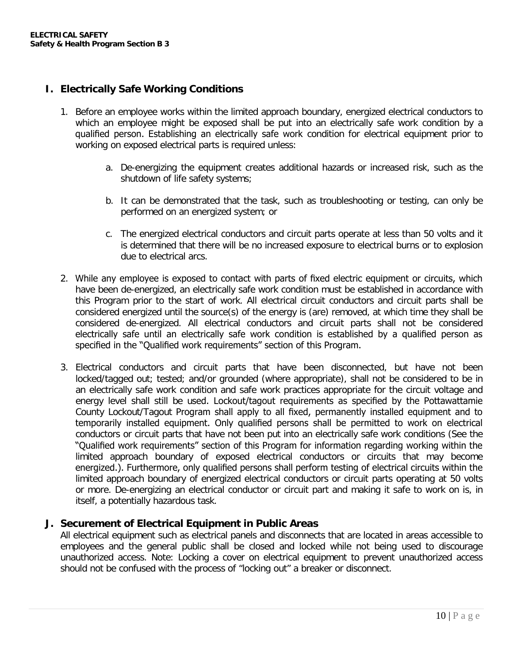#### **I. Electrically Safe Working Conditions**

- 1. Before an employee works within the limited approach boundary, energized electrical conductors to which an employee might be exposed shall be put into an electrically safe work condition by a qualified person. Establishing an electrically safe work condition for electrical equipment prior to working on exposed electrical parts is required unless:
	- a. De-energizing the equipment creates additional hazards or increased risk, such as the shutdown of life safety systems;
	- b. It can be demonstrated that the task, such as troubleshooting or testing, can only be performed on an energized system; or
	- c. The energized electrical conductors and circuit parts operate at less than 50 volts and it is determined that there will be no increased exposure to electrical burns or to explosion due to electrical arcs.
- 2. While any employee is exposed to contact with parts of fixed electric equipment or circuits, which have been de-energized, an electrically safe work condition must be established in accordance with this Program prior to the start of work. All electrical circuit conductors and circuit parts shall be considered energized until the source(s) of the energy is (are) removed, at which time they shall be considered de-energized. All electrical conductors and circuit parts shall not be considered electrically safe until an electrically safe work condition is established by a qualified person as specified in the "Qualified work requirements" section of this Program.
- 3. Electrical conductors and circuit parts that have been disconnected, but have not been locked/tagged out; tested; and/or grounded (where appropriate), shall not be considered to be in an electrically safe work condition and safe work practices appropriate for the circuit voltage and energy level shall still be used. Lockout/tagout requirements as specified by the Pottawattamie County Lockout/Tagout Program shall apply to all fixed, permanently installed equipment and to temporarily installed equipment. Only qualified persons shall be permitted to work on electrical conductors or circuit parts that have not been put into an electrically safe work conditions (See the "Qualified work requirements" section of this Program for information regarding working within the limited approach boundary of exposed electrical conductors or circuits that may become energized.). Furthermore, only qualified persons shall perform testing of electrical circuits within the limited approach boundary of energized electrical conductors or circuit parts operating at 50 volts or more. De-energizing an electrical conductor or circuit part and making it safe to work on is, in itself, a potentially hazardous task.

#### **J. Securement of Electrical Equipment in Public Areas**

All electrical equipment such as electrical panels and disconnects that are located in areas accessible to employees and the general public shall be closed and locked while not being used to discourage unauthorized access. Note: Locking a cover on electrical equipment to prevent unauthorized access should not be confused with the process of "locking out" a breaker or disconnect.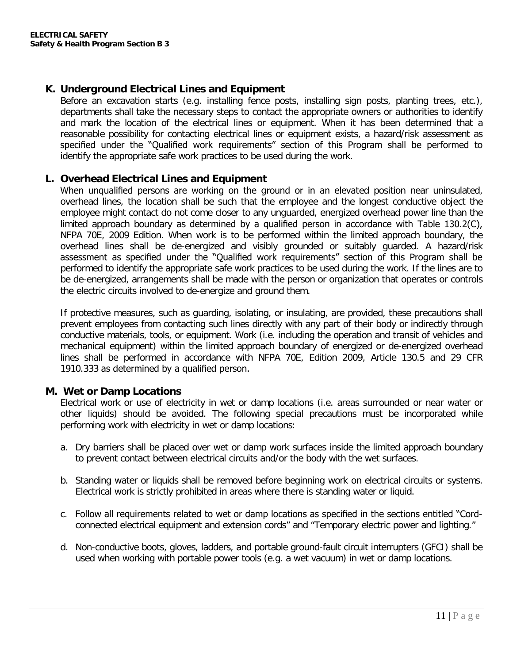#### **K. Underground Electrical Lines and Equipment**

Before an excavation starts (e.g. installing fence posts, installing sign posts, planting trees, etc.), departments shall take the necessary steps to contact the appropriate owners or authorities to identify and mark the location of the electrical lines or equipment. When it has been determined that a reasonable possibility for contacting electrical lines or equipment exists, a hazard/risk assessment as specified under the "Qualified work requirements" section of this Program shall be performed to identify the appropriate safe work practices to be used during the work.

#### **L. Overhead Electrical Lines and Equipment**

When unqualified persons are working on the ground or in an elevated position near uninsulated, overhead lines, the location shall be such that the employee and the longest conductive object the employee might contact do not come closer to any unguarded, energized overhead power line than the limited approach boundary as determined by a qualified person in accordance with Table 130.2(C), NFPA 70E, 2009 Edition. When work is to be performed within the limited approach boundary, the overhead lines shall be de-energized and visibly grounded or suitably guarded. A hazard/risk assessment as specified under the "Qualified work requirements" section of this Program shall be performed to identify the appropriate safe work practices to be used during the work. If the lines are to be de-energized, arrangements shall be made with the person or organization that operates or controls the electric circuits involved to de-energize and ground them.

If protective measures, such as guarding, isolating, or insulating, are provided, these precautions shall prevent employees from contacting such lines directly with any part of their body or indirectly through conductive materials, tools, or equipment. Work (i.e. including the operation and transit of vehicles and mechanical equipment) within the limited approach boundary of energized or de-energized overhead lines shall be performed in accordance with NFPA 70E, Edition 2009, Article 130.5 and 29 CFR 1910.333 as determined by a qualified person.

#### **M. Wet or Damp Locations**

Electrical work or use of electricity in wet or damp locations (i.e. areas surrounded or near water or other liquids) should be avoided. The following special precautions must be incorporated while performing work with electricity in wet or damp locations:

- a. Dry barriers shall be placed over wet or damp work surfaces inside the limited approach boundary to prevent contact between electrical circuits and/or the body with the wet surfaces.
- b. Standing water or liquids shall be removed before beginning work on electrical circuits or systems. Electrical work is strictly prohibited in areas where there is standing water or liquid.
- c. Follow all requirements related to wet or damp locations as specified in the sections entitled "Cordconnected electrical equipment and extension cords" and "Temporary electric power and lighting."
- d. Non-conductive boots, gloves, ladders, and portable ground-fault circuit interrupters (GFCI) shall be used when working with portable power tools (e.g. a wet vacuum) in wet or damp locations.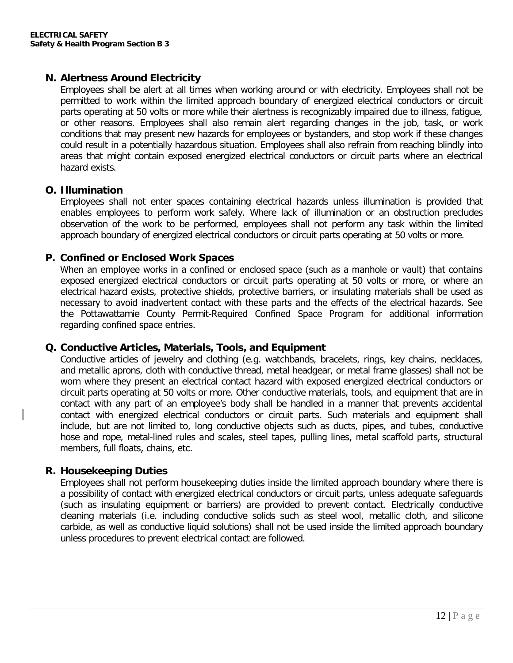#### **N. Alertness Around Electricity**

Employees shall be alert at all times when working around or with electricity. Employees shall not be permitted to work within the limited approach boundary of energized electrical conductors or circuit parts operating at 50 volts or more while their alertness is recognizably impaired due to illness, fatigue, or other reasons. Employees shall also remain alert regarding changes in the job, task, or work conditions that may present new hazards for employees or bystanders, and stop work if these changes could result in a potentially hazardous situation. Employees shall also refrain from reaching blindly into areas that might contain exposed energized electrical conductors or circuit parts where an electrical hazard exists.

#### **O. Illumination**

Employees shall not enter spaces containing electrical hazards unless illumination is provided that enables employees to perform work safely. Where lack of illumination or an obstruction precludes observation of the work to be performed, employees shall not perform any task within the limited approach boundary of energized electrical conductors or circuit parts operating at 50 volts or more.

#### **P. Confined or Enclosed Work Spaces**

When an employee works in a confined or enclosed space (such as a manhole or vault) that contains exposed energized electrical conductors or circuit parts operating at 50 volts or more, or where an electrical hazard exists, protective shields, protective barriers, or insulating materials shall be used as necessary to avoid inadvertent contact with these parts and the effects of the electrical hazards. See the Pottawattamie County Permit-Required Confined Space Program for additional information regarding confined space entries.

#### **Q. Conductive Articles, Materials, Tools, and Equipment**

Conductive articles of jewelry and clothing (e.g. watchbands, bracelets, rings, key chains, necklaces, and metallic aprons, cloth with conductive thread, metal headgear, or metal frame glasses) shall not be worn where they present an electrical contact hazard with exposed energized electrical conductors or circuit parts operating at 50 volts or more. Other conductive materials, tools, and equipment that are in contact with any part of an employee's body shall be handled in a manner that prevents accidental contact with energized electrical conductors or circuit parts. Such materials and equipment shall include, but are not limited to, long conductive objects such as ducts, pipes, and tubes, conductive hose and rope, metal-lined rules and scales, steel tapes, pulling lines, metal scaffold parts, structural members, full floats, chains, etc.

#### **R. Housekeeping Duties**

Employees shall not perform housekeeping duties inside the limited approach boundary where there is a possibility of contact with energized electrical conductors or circuit parts, unless adequate safeguards (such as insulating equipment or barriers) are provided to prevent contact. Electrically conductive cleaning materials (i.e. including conductive solids such as steel wool, metallic cloth, and silicone carbide, as well as conductive liquid solutions) shall not be used inside the limited approach boundary unless procedures to prevent electrical contact are followed.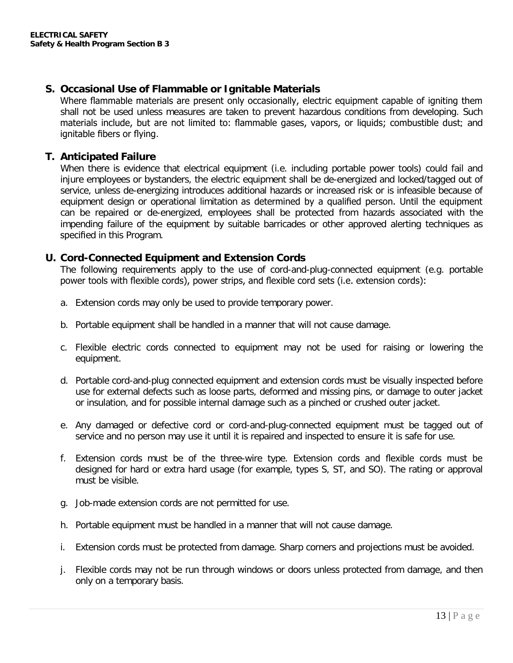#### **S. Occasional Use of Flammable or Ignitable Materials**

Where flammable materials are present only occasionally, electric equipment capable of igniting them shall not be used unless measures are taken to prevent hazardous conditions from developing. Such materials include, but are not limited to: flammable gases, vapors, or liquids; combustible dust; and ignitable fibers or flying.

#### **T. Anticipated Failure**

When there is evidence that electrical equipment (i.e. including portable power tools) could fail and injure employees or bystanders, the electric equipment shall be de-energized and locked/tagged out of service, unless de-energizing introduces additional hazards or increased risk or is infeasible because of equipment design or operational limitation as determined by a qualified person. Until the equipment can be repaired or de-energized, employees shall be protected from hazards associated with the impending failure of the equipment by suitable barricades or other approved alerting techniques as specified in this Program.

#### **U. Cord-Connected Equipment and Extension Cords**

The following requirements apply to the use of cord-and-plug-connected equipment (e.g. portable power tools with flexible cords), power strips, and flexible cord sets (i.e. extension cords):

- a. Extension cords may only be used to provide temporary power.
- b. Portable equipment shall be handled in a manner that will not cause damage.
- c. Flexible electric cords connected to equipment may not be used for raising or lowering the equipment.
- d. Portable cord-and-plug connected equipment and extension cords must be visually inspected before use for external defects such as loose parts, deformed and missing pins, or damage to outer jacket or insulation, and for possible internal damage such as a pinched or crushed outer jacket.
- e. Any damaged or defective cord or cord-and-plug-connected equipment must be tagged out of service and no person may use it until it is repaired and inspected to ensure it is safe for use.
- f. Extension cords must be of the three-wire type. Extension cords and flexible cords must be designed for hard or extra hard usage (for example, types S, ST, and SO). The rating or approval must be visible.
- g. Job-made extension cords are not permitted for use.
- h. Portable equipment must be handled in a manner that will not cause damage.
- i. Extension cords must be protected from damage. Sharp corners and projections must be avoided.
- j. Flexible cords may not be run through windows or doors unless protected from damage, and then only on a temporary basis.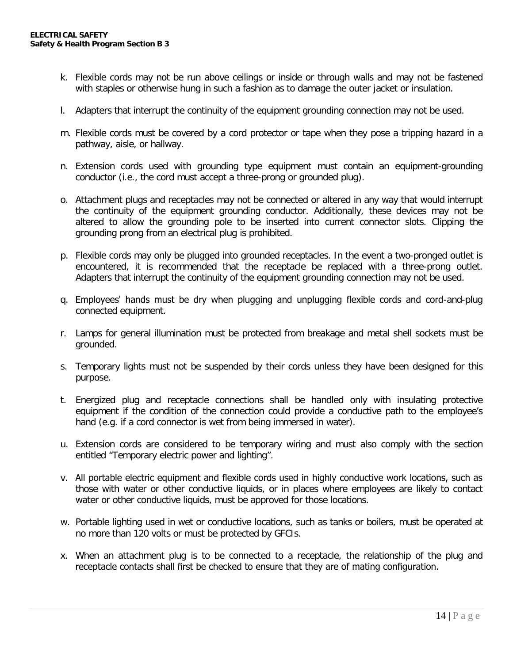- k. Flexible cords may not be run above ceilings or inside or through walls and may not be fastened with staples or otherwise hung in such a fashion as to damage the outer jacket or insulation.
- l. Adapters that interrupt the continuity of the equipment grounding connection may not be used.
- m. Flexible cords must be covered by a cord protector or tape when they pose a tripping hazard in a pathway, aisle, or hallway.
- n. Extension cords used with grounding type equipment must contain an equipment-grounding conductor (i.e., the cord must accept a three-prong or grounded plug).
- o. Attachment plugs and receptacles may not be connected or altered in any way that would interrupt the continuity of the equipment grounding conductor. Additionally, these devices may not be altered to allow the grounding pole to be inserted into current connector slots. Clipping the grounding prong from an electrical plug is prohibited.
- p. Flexible cords may only be plugged into grounded receptacles. In the event a two-pronged outlet is encountered, it is recommended that the receptacle be replaced with a three-prong outlet. Adapters that interrupt the continuity of the equipment grounding connection may not be used.
- q. Employees' hands must be dry when plugging and unplugging flexible cords and cord-and-plug connected equipment.
- r. Lamps for general illumination must be protected from breakage and metal shell sockets must be grounded.
- s. Temporary lights must not be suspended by their cords unless they have been designed for this purpose.
- t. Energized plug and receptacle connections shall be handled only with insulating protective equipment if the condition of the connection could provide a conductive path to the employee's hand (e.g. if a cord connector is wet from being immersed in water).
- u. Extension cords are considered to be temporary wiring and must also comply with the section entitled "Temporary electric power and lighting".
- v. All portable electric equipment and flexible cords used in highly conductive work locations, such as those with water or other conductive liquids, or in places where employees are likely to contact water or other conductive liquids, must be approved for those locations.
- w. Portable lighting used in wet or conductive locations, such as tanks or boilers, must be operated at no more than 120 volts or must be protected by GFCIs.
- x. When an attachment plug is to be connected to a receptacle, the relationship of the plug and receptacle contacts shall first be checked to ensure that they are of mating configuration.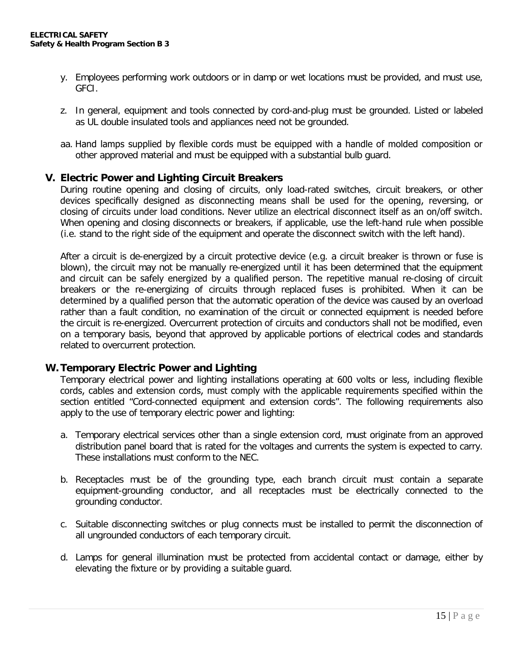- y. Employees performing work outdoors or in damp or wet locations must be provided, and must use, GFCI.
- z. In general, equipment and tools connected by cord-and-plug must be grounded. Listed or labeled as UL double insulated tools and appliances need not be grounded.
- aa. Hand lamps supplied by flexible cords must be equipped with a handle of molded composition or other approved material and must be equipped with a substantial bulb guard.

#### **V. Electric Power and Lighting Circuit Breakers**

During routine opening and closing of circuits, only load-rated switches, circuit breakers, or other devices specifically designed as disconnecting means shall be used for the opening, reversing, or closing of circuits under load conditions. Never utilize an electrical disconnect itself as an on/off switch. When opening and closing disconnects or breakers, if applicable, use the left-hand rule when possible (i.e. stand to the right side of the equipment and operate the disconnect switch with the left hand).

After a circuit is de-energized by a circuit protective device (e.g. a circuit breaker is thrown or fuse is blown), the circuit may not be manually re-energized until it has been determined that the equipment and circuit can be safely energized by a qualified person. The repetitive manual re-closing of circuit breakers or the re-energizing of circuits through replaced fuses is prohibited. When it can be determined by a qualified person that the automatic operation of the device was caused by an overload rather than a fault condition, no examination of the circuit or connected equipment is needed before the circuit is re-energized. Overcurrent protection of circuits and conductors shall not be modified, even on a temporary basis, beyond that approved by applicable portions of electrical codes and standards related to overcurrent protection.

#### **W. Temporary Electric Power and Lighting**

Temporary electrical power and lighting installations operating at 600 volts or less, including flexible cords, cables and extension cords, must comply with the applicable requirements specified within the section entitled "Cord-connected equipment and extension cords". The following requirements also apply to the use of temporary electric power and lighting:

- a. Temporary electrical services other than a single extension cord, must originate from an approved distribution panel board that is rated for the voltages and currents the system is expected to carry. These installations must conform to the NEC.
- b. Receptacles must be of the grounding type, each branch circuit must contain a separate equipment-grounding conductor, and all receptacles must be electrically connected to the grounding conductor.
- c. Suitable disconnecting switches or plug connects must be installed to permit the disconnection of all ungrounded conductors of each temporary circuit.
- d. Lamps for general illumination must be protected from accidental contact or damage, either by elevating the fixture or by providing a suitable guard.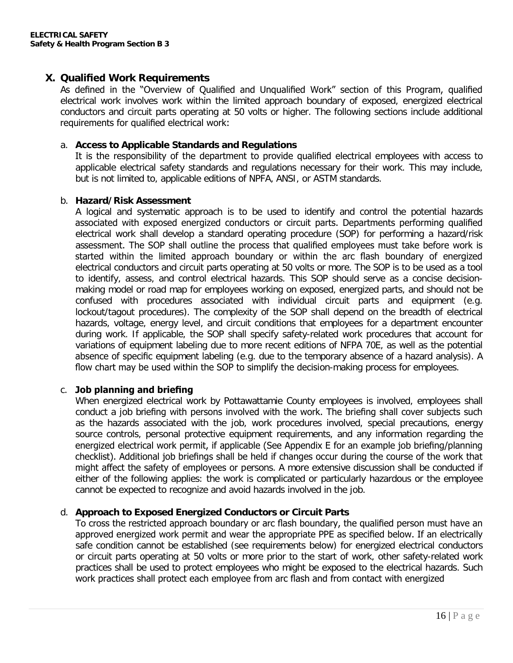#### **X. Qualified Work Requirements**

As defined in the "Overview of Qualified and Unqualified Work" section of this Program, qualified electrical work involves work within the limited approach boundary of exposed, energized electrical conductors and circuit parts operating at 50 volts or higher. The following sections include additional requirements for qualified electrical work:

#### a. **Access to Applicable Standards and Regulations**

It is the responsibility of the department to provide qualified electrical employees with access to applicable electrical safety standards and regulations necessary for their work. This may include, but is not limited to, applicable editions of NPFA, ANSI, or ASTM standards.

#### b. **Hazard/Risk Assessment**

A logical and systematic approach is to be used to identify and control the potential hazards associated with exposed energized conductors or circuit parts. Departments performing qualified electrical work shall develop a standard operating procedure (SOP) for performing a hazard/risk assessment. The SOP shall outline the process that qualified employees must take before work is started within the limited approach boundary or within the arc flash boundary of energized electrical conductors and circuit parts operating at 50 volts or more. The SOP is to be used as a tool to identify, assess, and control electrical hazards. This SOP should serve as a concise decisionmaking model or road map for employees working on exposed, energized parts, and should not be confused with procedures associated with individual circuit parts and equipment (e.g. lockout/tagout procedures). The complexity of the SOP shall depend on the breadth of electrical hazards, voltage, energy level, and circuit conditions that employees for a department encounter during work. If applicable, the SOP shall specify safety-related work procedures that account for variations of equipment labeling due to more recent editions of NFPA 70E, as well as the potential absence of specific equipment labeling (e.g. due to the temporary absence of a hazard analysis). A flow chart may be used within the SOP to simplify the decision-making process for employees.

#### c. **Job planning and briefing**

When energized electrical work by Pottawattamie County employees is involved, employees shall conduct a job briefing with persons involved with the work. The briefing shall cover subjects such as the hazards associated with the job, work procedures involved, special precautions, energy source controls, personal protective equipment requirements, and any information regarding the energized electrical work permit, if applicable (See Appendix E for an example job briefing/planning checklist). Additional job briefings shall be held if changes occur during the course of the work that might affect the safety of employees or persons. A more extensive discussion shall be conducted if either of the following applies: the work is complicated or particularly hazardous or the employee cannot be expected to recognize and avoid hazards involved in the job.

#### d. **Approach to Exposed Energized Conductors or Circuit Parts**

To cross the restricted approach boundary or arc flash boundary, the qualified person must have an approved energized work permit and wear the appropriate PPE as specified below. If an electrically safe condition cannot be established (see requirements below) for energized electrical conductors or circuit parts operating at 50 volts or more prior to the start of work, other safety-related work practices shall be used to protect employees who might be exposed to the electrical hazards. Such work practices shall protect each employee from arc flash and from contact with energized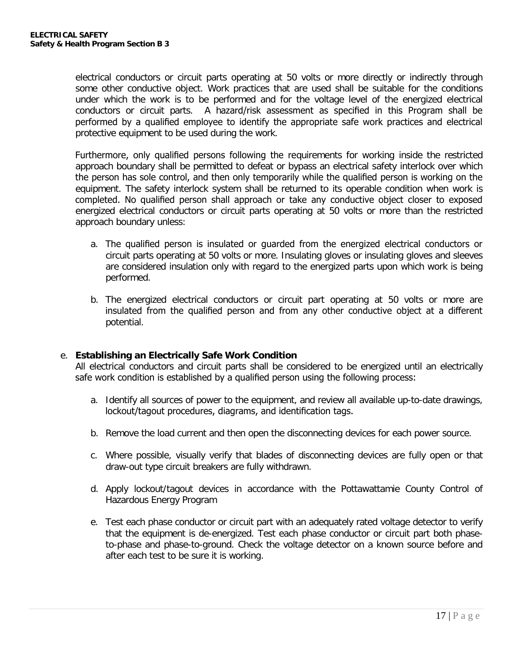electrical conductors or circuit parts operating at 50 volts or more directly or indirectly through some other conductive object. Work practices that are used shall be suitable for the conditions under which the work is to be performed and for the voltage level of the energized electrical conductors or circuit parts. A hazard/risk assessment as specified in this Program shall be performed by a qualified employee to identify the appropriate safe work practices and electrical protective equipment to be used during the work.

Furthermore, only qualified persons following the requirements for working inside the restricted approach boundary shall be permitted to defeat or bypass an electrical safety interlock over which the person has sole control, and then only temporarily while the qualified person is working on the equipment. The safety interlock system shall be returned to its operable condition when work is completed. No qualified person shall approach or take any conductive object closer to exposed energized electrical conductors or circuit parts operating at 50 volts or more than the restricted approach boundary unless:

- a. The qualified person is insulated or guarded from the energized electrical conductors or circuit parts operating at 50 volts or more. Insulating gloves or insulating gloves and sleeves are considered insulation only with regard to the energized parts upon which work is being performed.
- b. The energized electrical conductors or circuit part operating at 50 volts or more are insulated from the qualified person and from any other conductive object at a different potential.

#### e. **Establishing an Electrically Safe Work Condition**

All electrical conductors and circuit parts shall be considered to be energized until an electrically safe work condition is established by a qualified person using the following process:

- a. Identify all sources of power to the equipment, and review all available up-to-date drawings, lockout/tagout procedures, diagrams, and identification tags.
- b. Remove the load current and then open the disconnecting devices for each power source.
- c. Where possible, visually verify that blades of disconnecting devices are fully open or that draw-out type circuit breakers are fully withdrawn.
- d. Apply lockout/tagout devices in accordance with the Pottawattamie County Control of Hazardous Energy Program
- e. Test each phase conductor or circuit part with an adequately rated voltage detector to verify that the equipment is de-energized. Test each phase conductor or circuit part both phaseto-phase and phase-to-ground. Check the voltage detector on a known source before and after each test to be sure it is working.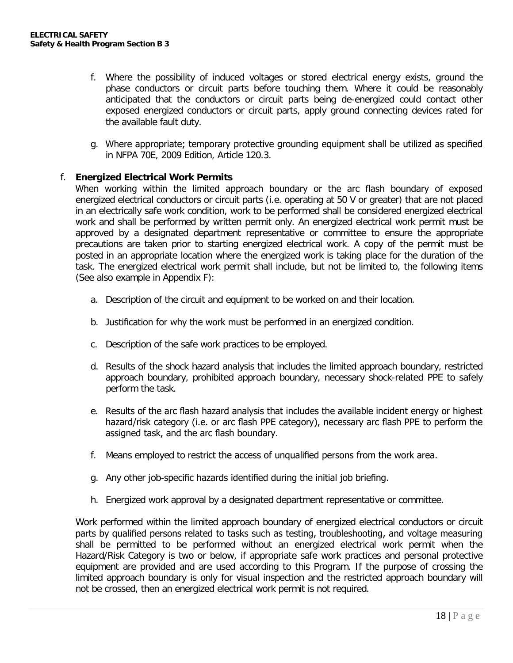- f. Where the possibility of induced voltages or stored electrical energy exists, ground the phase conductors or circuit parts before touching them. Where it could be reasonably anticipated that the conductors or circuit parts being de-energized could contact other exposed energized conductors or circuit parts, apply ground connecting devices rated for the available fault duty.
- g. Where appropriate; temporary protective grounding equipment shall be utilized as specified in NFPA 70E, 2009 Edition, Article 120.3.

#### f. **Energized Electrical Work Permits**

When working within the limited approach boundary or the arc flash boundary of exposed energized electrical conductors or circuit parts (i.e. operating at 50 V or greater) that are not placed in an electrically safe work condition, work to be performed shall be considered energized electrical work and shall be performed by written permit only. An energized electrical work permit must be approved by a designated department representative or committee to ensure the appropriate precautions are taken prior to starting energized electrical work. A copy of the permit must be posted in an appropriate location where the energized work is taking place for the duration of the task. The energized electrical work permit shall include, but not be limited to, the following items (See also example in Appendix F):

- a. Description of the circuit and equipment to be worked on and their location.
- b. Justification for why the work must be performed in an energized condition.
- c. Description of the safe work practices to be employed.
- d. Results of the shock hazard analysis that includes the limited approach boundary, restricted approach boundary, prohibited approach boundary, necessary shock-related PPE to safely perform the task.
- e. Results of the arc flash hazard analysis that includes the available incident energy or highest hazard/risk category (i.e. or arc flash PPE category), necessary arc flash PPE to perform the assigned task, and the arc flash boundary.
- f. Means employed to restrict the access of unqualified persons from the work area.
- g. Any other job-specific hazards identified during the initial job briefing.
- h. Energized work approval by a designated department representative or committee.

Work performed within the limited approach boundary of energized electrical conductors or circuit parts by qualified persons related to tasks such as testing, troubleshooting, and voltage measuring shall be permitted to be performed without an energized electrical work permit when the Hazard/Risk Category is two or below, if appropriate safe work practices and personal protective equipment are provided and are used according to this Program. If the purpose of crossing the limited approach boundary is only for visual inspection and the restricted approach boundary will not be crossed, then an energized electrical work permit is not required.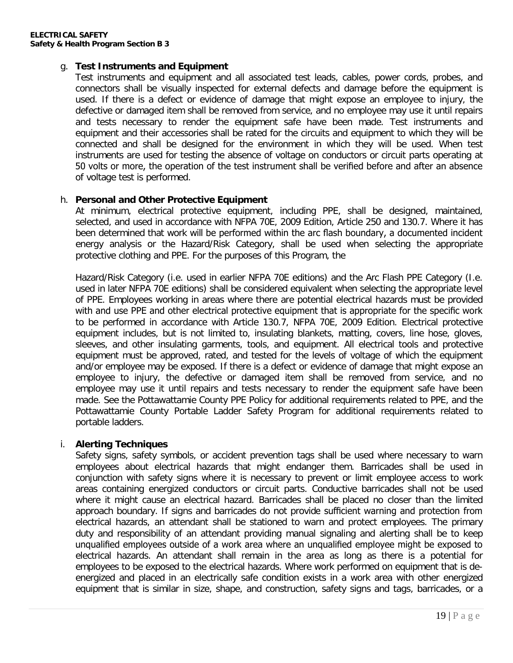#### g. **Test Instruments and Equipment**

Test instruments and equipment and all associated test leads, cables, power cords, probes, and connectors shall be visually inspected for external defects and damage before the equipment is used. If there is a defect or evidence of damage that might expose an employee to injury, the defective or damaged item shall be removed from service, and no employee may use it until repairs and tests necessary to render the equipment safe have been made. Test instruments and equipment and their accessories shall be rated for the circuits and equipment to which they will be connected and shall be designed for the environment in which they will be used. When test instruments are used for testing the absence of voltage on conductors or circuit parts operating at 50 volts or more, the operation of the test instrument shall be verified before and after an absence of voltage test is performed.

#### h. **Personal and Other Protective Equipment**

At minimum, electrical protective equipment, including PPE, shall be designed, maintained, selected, and used in accordance with NFPA 70E, 2009 Edition, Article 250 and 130.7. Where it has been determined that work will be performed within the arc flash boundary, a documented incident energy analysis or the Hazard/Risk Category, shall be used when selecting the appropriate protective clothing and PPE. For the purposes of this Program, the

Hazard/Risk Category (i.e. used in earlier NFPA 70E editions) and the Arc Flash PPE Category (I.e. used in later NFPA 70E editions) shall be considered equivalent when selecting the appropriate level of PPE. Employees working in areas where there are potential electrical hazards must be provided with and use PPE and other electrical protective equipment that is appropriate for the specific work to be performed in accordance with Article 130.7, NFPA 70E, 2009 Edition. Electrical protective equipment includes, but is not limited to, insulating blankets, matting, covers, line hose, gloves, sleeves, and other insulating garments, tools, and equipment. All electrical tools and protective equipment must be approved, rated, and tested for the levels of voltage of which the equipment and/or employee may be exposed. If there is a defect or evidence of damage that might expose an employee to injury, the defective or damaged item shall be removed from service, and no employee may use it until repairs and tests necessary to render the equipment safe have been made. See the Pottawattamie County PPE Policy for additional requirements related to PPE, and the Pottawattamie County Portable Ladder Safety Program for additional requirements related to portable ladders.

#### i. **Alerting Techniques**

Safety signs, safety symbols, or accident prevention tags shall be used where necessary to warn employees about electrical hazards that might endanger them. Barricades shall be used in conjunction with safety signs where it is necessary to prevent or limit employee access to work areas containing energized conductors or circuit parts. Conductive barricades shall not be used where it might cause an electrical hazard. Barricades shall be placed no closer than the limited approach boundary. If signs and barricades do not provide sufficient warning and protection from electrical hazards, an attendant shall be stationed to warn and protect employees. The primary duty and responsibility of an attendant providing manual signaling and alerting shall be to keep unqualified employees outside of a work area where an unqualified employee might be exposed to electrical hazards. An attendant shall remain in the area as long as there is a potential for employees to be exposed to the electrical hazards. Where work performed on equipment that is deenergized and placed in an electrically safe condition exists in a work area with other energized equipment that is similar in size, shape, and construction, safety signs and tags, barricades, or a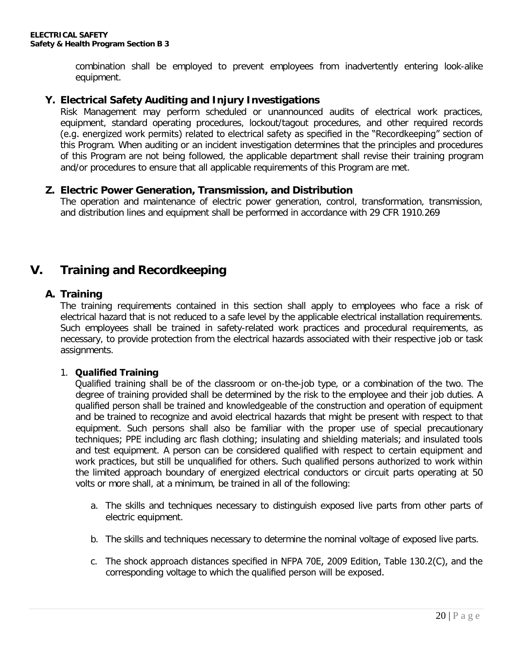combination shall be employed to prevent employees from inadvertently entering look-alike equipment.

#### **Y. Electrical Safety Auditing and Injury Investigations**

Risk Management may perform scheduled or unannounced audits of electrical work practices, equipment, standard operating procedures, lockout/tagout procedures, and other required records (e.g. energized work permits) related to electrical safety as specified in the "Recordkeeping" section of this Program. When auditing or an incident investigation determines that the principles and procedures of this Program are not being followed, the applicable department shall revise their training program and/or procedures to ensure that all applicable requirements of this Program are met.

#### **Z. Electric Power Generation, Transmission, and Distribution**

The operation and maintenance of electric power generation, control, transformation, transmission, and distribution lines and equipment shall be performed in accordance with 29 CFR 1910.269

## **V. Training and Recordkeeping**

#### **A. Training**

The training requirements contained in this section shall apply to employees who face a risk of electrical hazard that is not reduced to a safe level by the applicable electrical installation requirements. Such employees shall be trained in safety-related work practices and procedural requirements, as necessary, to provide protection from the electrical hazards associated with their respective job or task assignments.

#### 1. **Qualified Training**

Qualified training shall be of the classroom or on-the-job type, or a combination of the two. The degree of training provided shall be determined by the risk to the employee and their job duties. A qualified person shall be trained and knowledgeable of the construction and operation of equipment and be trained to recognize and avoid electrical hazards that might be present with respect to that equipment. Such persons shall also be familiar with the proper use of special precautionary techniques; PPE including arc flash clothing; insulating and shielding materials; and insulated tools and test equipment. A person can be considered qualified with respect to certain equipment and work practices, but still be unqualified for others. Such qualified persons authorized to work within the limited approach boundary of energized electrical conductors or circuit parts operating at 50 volts or more shall, at a minimum, be trained in all of the following:

- a. The skills and techniques necessary to distinguish exposed live parts from other parts of electric equipment.
- b. The skills and techniques necessary to determine the nominal voltage of exposed live parts.
- c. The shock approach distances specified in NFPA 70E, 2009 Edition, Table 130.2(C), and the corresponding voltage to which the qualified person will be exposed.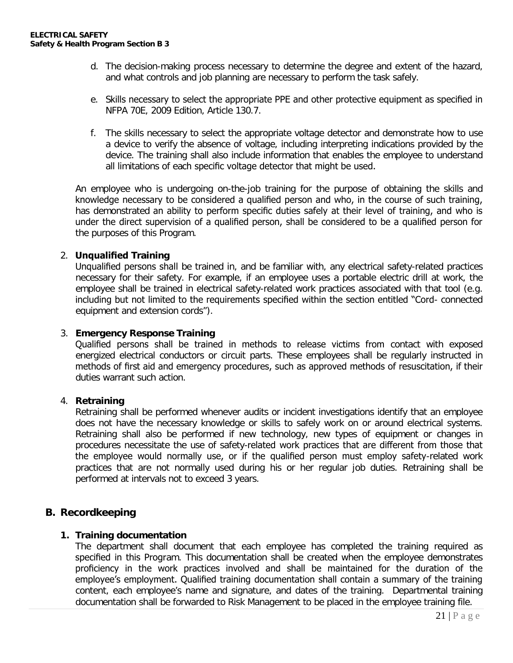- d. The decision-making process necessary to determine the degree and extent of the hazard, and what controls and job planning are necessary to perform the task safely.
- e. Skills necessary to select the appropriate PPE and other protective equipment as specified in NFPA 70E, 2009 Edition, Article 130.7.
- f. The skills necessary to select the appropriate voltage detector and demonstrate how to use a device to verify the absence of voltage, including interpreting indications provided by the device. The training shall also include information that enables the employee to understand all limitations of each specific voltage detector that might be used.

An employee who is undergoing on-the-job training for the purpose of obtaining the skills and knowledge necessary to be considered a qualified person and who, in the course of such training, has demonstrated an ability to perform specific duties safely at their level of training, and who is under the direct supervision of a qualified person, shall be considered to be a qualified person for the purposes of this Program.

#### 2. **Unqualified Training**

Unqualified persons shall be trained in, and be familiar with, any electrical safety-related practices necessary for their safety. For example, if an employee uses a portable electric drill at work, the employee shall be trained in electrical safety-related work practices associated with that tool (e.g. including but not limited to the requirements specified within the section entitled "Cord- connected equipment and extension cords").

#### 3. **Emergency Response Training**

Qualified persons shall be trained in methods to release victims from contact with exposed energized electrical conductors or circuit parts. These employees shall be regularly instructed in methods of first aid and emergency procedures, such as approved methods of resuscitation, if their duties warrant such action.

#### 4. **Retraining**

Retraining shall be performed whenever audits or incident investigations identify that an employee does not have the necessary knowledge or skills to safely work on or around electrical systems. Retraining shall also be performed if new technology, new types of equipment or changes in procedures necessitate the use of safety-related work practices that are different from those that the employee would normally use, or if the qualified person must employ safety-related work practices that are not normally used during his or her regular job duties. Retraining shall be performed at intervals not to exceed 3 years.

#### **B. Recordkeeping**

#### **1. Training documentation**

The department shall document that each employee has completed the training required as specified in this Program. This documentation shall be created when the employee demonstrates proficiency in the work practices involved and shall be maintained for the duration of the employee's employment. Qualified training documentation shall contain a summary of the training content, each employee's name and signature, and dates of the training. Departmental training documentation shall be forwarded to Risk Management to be placed in the employee training file.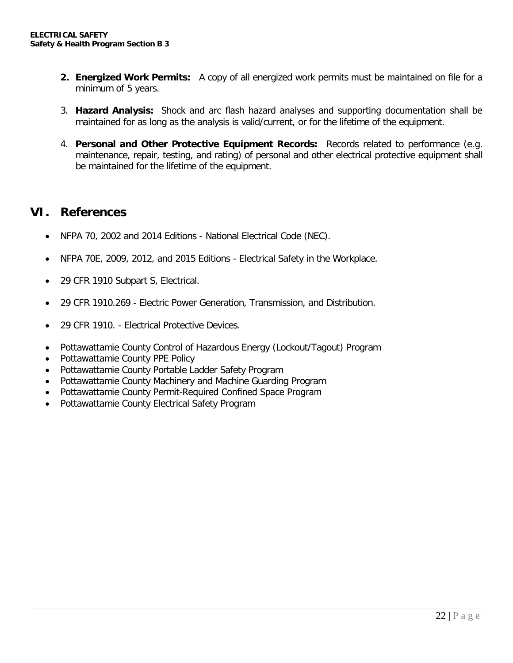- **2. Energized Work Permits:** A copy of all energized work permits must be maintained on file for a minimum of 5 years.
- 3. **Hazard Analysis:** Shock and arc flash hazard analyses and supporting documentation shall be maintained for as long as the analysis is valid/current, or for the lifetime of the equipment.
- 4. **Personal and Other Protective Equipment Records:** Records related to performance (e.g. maintenance, repair, testing, and rating) of personal and other electrical protective equipment shall be maintained for the lifetime of the equipment.

### **VI. References**

- NFPA 70, 2002 and 2014 Editions National Electrical Code (NEC).
- NFPA 70E, 2009, 2012, and 2015 Editions Electrical Safety in the Workplace.
- 29 CFR 1910 Subpart S, Electrical.
- 29 CFR 1910.269 Electric Power Generation, Transmission, and Distribution.
- 29 CFR 1910. Electrical Protective Devices.
- Pottawattamie County Control of Hazardous Energy (Lockout/Tagout) Program
- Pottawattamie County PPE Policy
- Pottawattamie County Portable Ladder Safety Program
- Pottawattamie County Machinery and Machine Guarding Program
- Pottawattamie County Permit-Required Confined Space Program
- Pottawattamie County Electrical Safety Program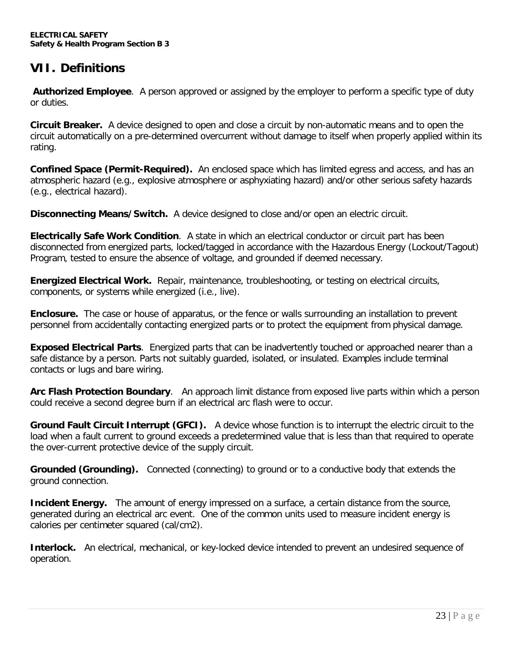# **VII. Definitions**

**Authorized Employee**. A person approved or assigned by the employer to perform a specific type of duty or duties.

**Circuit Breaker.** A device designed to open and close a circuit by non-automatic means and to open the circuit automatically on a pre-determined overcurrent without damage to itself when properly applied within its rating.

**Confined Space (Permit-Required).** An enclosed space which has limited egress and access, and has an atmospheric hazard (e.g., explosive atmosphere or asphyxiating hazard) and/or other serious safety hazards (e.g., electrical hazard).

**Disconnecting Means/Switch.** A device designed to close and/or open an electric circuit.

**Electrically Safe Work Condition**. A state in which an electrical conductor or circuit part has been disconnected from energized parts, locked/tagged in accordance with the Hazardous Energy (Lockout/Tagout) Program, tested to ensure the absence of voltage, and grounded if deemed necessary.

**Energized Electrical Work.** Repair, maintenance, troubleshooting, or testing on electrical circuits, components, or systems while energized (i.e., live).

**Enclosure.** The case or house of apparatus, or the fence or walls surrounding an installation to prevent personnel from accidentally contacting energized parts or to protect the equipment from physical damage.

**Exposed Electrical Parts**. Energized parts that can be inadvertently touched or approached nearer than a safe distance by a person. Parts not suitably guarded, isolated, or insulated. Examples include terminal contacts or lugs and bare wiring.

**Arc Flash Protection Boundary**. An approach limit distance from exposed live parts within which a person could receive a second degree burn if an electrical arc flash were to occur.

**Ground Fault Circuit Interrupt (GFCI).** A device whose function is to interrupt the electric circuit to the load when a fault current to ground exceeds a predetermined value that is less than that required to operate the over-current protective device of the supply circuit.

**Grounded (Grounding).** Connected (connecting) to ground or to a conductive body that extends the ground connection.

**Incident Energy.** The amount of energy impressed on a surface, a certain distance from the source, generated during an electrical arc event. One of the common units used to measure incident energy is calories per centimeter squared (cal/cm2).

**Interlock.** An electrical, mechanical, or key-locked device intended to prevent an undesired sequence of operation.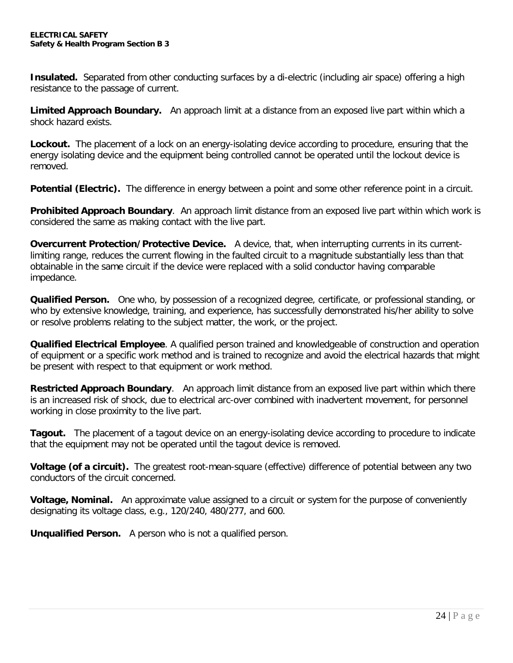**Insulated.** Separated from other conducting surfaces by a di-electric (including air space) offering a high resistance to the passage of current.

**Limited Approach Boundary.** An approach limit at a distance from an exposed live part within which a shock hazard exists.

**Lockout.** The placement of a lock on an energy-isolating device according to procedure, ensuring that the energy isolating device and the equipment being controlled cannot be operated until the lockout device is removed.

**Potential (Electric).** The difference in energy between a point and some other reference point in a circuit.

**Prohibited Approach Boundary**. An approach limit distance from an exposed live part within which work is considered the same as making contact with the live part.

**Overcurrent Protection/Protective Device.** A device, that, when interrupting currents in its currentlimiting range, reduces the current flowing in the faulted circuit to a magnitude substantially less than that obtainable in the same circuit if the device were replaced with a solid conductor having comparable impedance.

**Qualified Person.** One who, by possession of a recognized degree, certificate, or professional standing, or who by extensive knowledge, training, and experience, has successfully demonstrated his/her ability to solve or resolve problems relating to the subject matter, the work, or the project.

**Qualified Electrical Employee**. A qualified person trained and knowledgeable of construction and operation of equipment or a specific work method and is trained to recognize and avoid the electrical hazards that might be present with respect to that equipment or work method.

**Restricted Approach Boundary**. An approach limit distance from an exposed live part within which there is an increased risk of shock, due to electrical arc-over combined with inadvertent movement, for personnel working in close proximity to the live part.

**Tagout.** The placement of a tagout device on an energy-isolating device according to procedure to indicate that the equipment may not be operated until the tagout device is removed.

**Voltage (of a circuit).** The greatest root-mean-square (effective) difference of potential between any two conductors of the circuit concerned.

**Voltage, Nominal.** An approximate value assigned to a circuit or system for the purpose of conveniently designating its voltage class, e.g., 120/240, 480/277, and 600.

**Unqualified Person.** A person who is not a qualified person.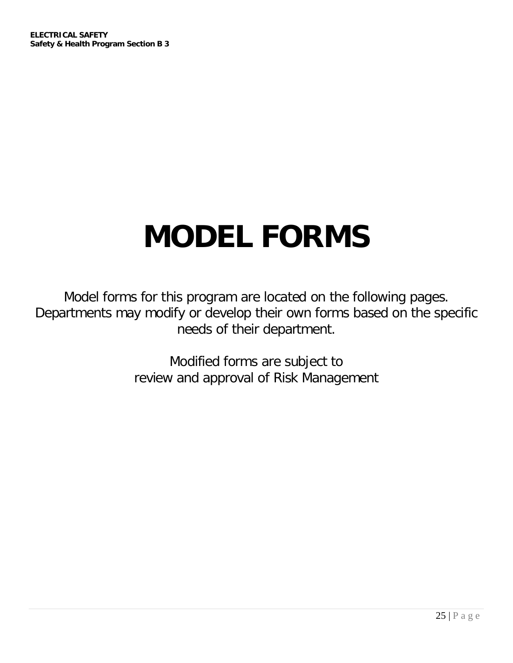# **MODEL FORMS**

Model forms for this program are located on the following pages. Departments may modify or develop their own forms based on the specific needs of their department.

> Modified forms are subject to review and approval of Risk Management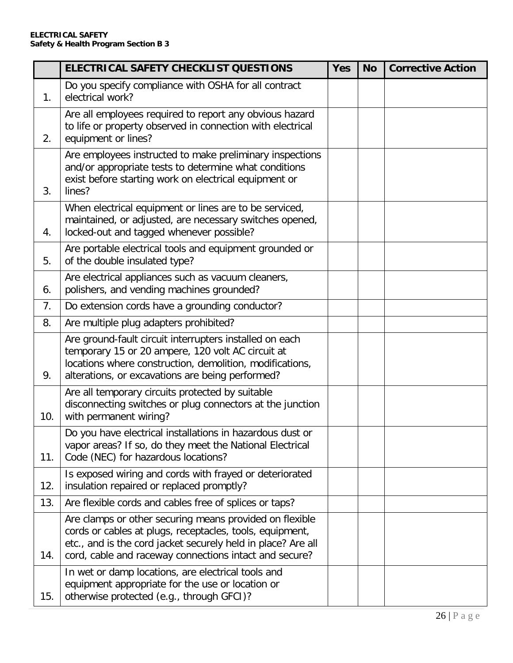|     | <b>ELECTRICAL SAFETY CHECKLIST QUESTIONS</b>                                                                                                                                                                                                  | <b>Yes</b> | <b>No</b> | <b>Corrective Action</b> |
|-----|-----------------------------------------------------------------------------------------------------------------------------------------------------------------------------------------------------------------------------------------------|------------|-----------|--------------------------|
| 1.  | Do you specify compliance with OSHA for all contract<br>electrical work?                                                                                                                                                                      |            |           |                          |
| 2.  | Are all employees required to report any obvious hazard<br>to life or property observed in connection with electrical<br>equipment or lines?                                                                                                  |            |           |                          |
| 3.  | Are employees instructed to make preliminary inspections<br>and/or appropriate tests to determine what conditions<br>exist before starting work on electrical equipment or<br>lines?                                                          |            |           |                          |
| 4.  | When electrical equipment or lines are to be serviced,<br>maintained, or adjusted, are necessary switches opened,<br>locked-out and tagged whenever possible?                                                                                 |            |           |                          |
| 5.  | Are portable electrical tools and equipment grounded or<br>of the double insulated type?                                                                                                                                                      |            |           |                          |
| 6.  | Are electrical appliances such as vacuum cleaners,<br>polishers, and vending machines grounded?                                                                                                                                               |            |           |                          |
| 7.  | Do extension cords have a grounding conductor?                                                                                                                                                                                                |            |           |                          |
| 8.  | Are multiple plug adapters prohibited?                                                                                                                                                                                                        |            |           |                          |
| 9.  | Are ground-fault circuit interrupters installed on each<br>temporary 15 or 20 ampere, 120 volt AC circuit at<br>locations where construction, demolition, modifications,<br>alterations, or excavations are being performed?                  |            |           |                          |
| 10. | Are all temporary circuits protected by suitable<br>disconnecting switches or plug connectors at the junction<br>with permanent wiring?                                                                                                       |            |           |                          |
| 11. | Do you have electrical installations in hazardous dust or<br>vapor areas? If so, do they meet the National Electrical<br>Code (NEC) for hazardous locations?                                                                                  |            |           |                          |
| 12. | Is exposed wiring and cords with frayed or deteriorated<br>insulation repaired or replaced promptly?                                                                                                                                          |            |           |                          |
| 13. | Are flexible cords and cables free of splices or taps?                                                                                                                                                                                        |            |           |                          |
| 14. | Are clamps or other securing means provided on flexible<br>cords or cables at plugs, receptacles, tools, equipment,<br>etc., and is the cord jacket securely held in place? Are all<br>cord, cable and raceway connections intact and secure? |            |           |                          |
| 15. | In wet or damp locations, are electrical tools and<br>equipment appropriate for the use or location or<br>otherwise protected (e.g., through GFCI)?                                                                                           |            |           |                          |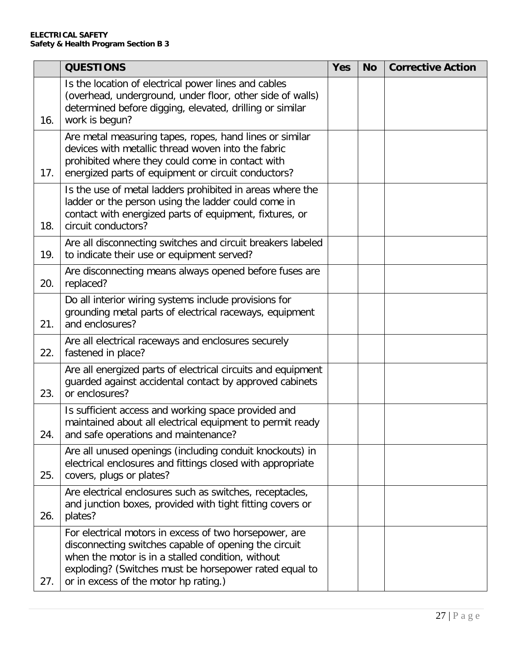|     | <b>QUESTIONS</b>                                                                                                                                                                                                                                                        | <b>Yes</b> | <b>No</b> | <b>Corrective Action</b> |
|-----|-------------------------------------------------------------------------------------------------------------------------------------------------------------------------------------------------------------------------------------------------------------------------|------------|-----------|--------------------------|
| 16. | Is the location of electrical power lines and cables<br>(overhead, underground, under floor, other side of walls)<br>determined before digging, elevated, drilling or similar<br>work is begun?                                                                         |            |           |                          |
| 17. | Are metal measuring tapes, ropes, hand lines or similar<br>devices with metallic thread woven into the fabric<br>prohibited where they could come in contact with<br>energized parts of equipment or circuit conductors?                                                |            |           |                          |
| 18. | Is the use of metal ladders prohibited in areas where the<br>ladder or the person using the ladder could come in<br>contact with energized parts of equipment, fixtures, or<br>circuit conductors?                                                                      |            |           |                          |
| 19. | Are all disconnecting switches and circuit breakers labeled<br>to indicate their use or equipment served?                                                                                                                                                               |            |           |                          |
| 20. | Are disconnecting means always opened before fuses are<br>replaced?                                                                                                                                                                                                     |            |           |                          |
| 21. | Do all interior wiring systems include provisions for<br>grounding metal parts of electrical raceways, equipment<br>and enclosures?                                                                                                                                     |            |           |                          |
| 22. | Are all electrical raceways and enclosures securely<br>fastened in place?                                                                                                                                                                                               |            |           |                          |
| 23. | Are all energized parts of electrical circuits and equipment<br>guarded against accidental contact by approved cabinets<br>or enclosures?                                                                                                                               |            |           |                          |
| 24. | Is sufficient access and working space provided and<br>maintained about all electrical equipment to permit ready<br>and safe operations and maintenance?                                                                                                                |            |           |                          |
| 25. | Are all unused openings (including conduit knockouts) in<br>electrical enclosures and fittings closed with appropriate<br>covers, plugs or plates?                                                                                                                      |            |           |                          |
| 26. | Are electrical enclosures such as switches, receptacles,<br>and junction boxes, provided with tight fitting covers or<br>plates?                                                                                                                                        |            |           |                          |
| 27. | For electrical motors in excess of two horsepower, are<br>disconnecting switches capable of opening the circuit<br>when the motor is in a stalled condition, without<br>exploding? (Switches must be horsepower rated equal to<br>or in excess of the motor hp rating.) |            |           |                          |